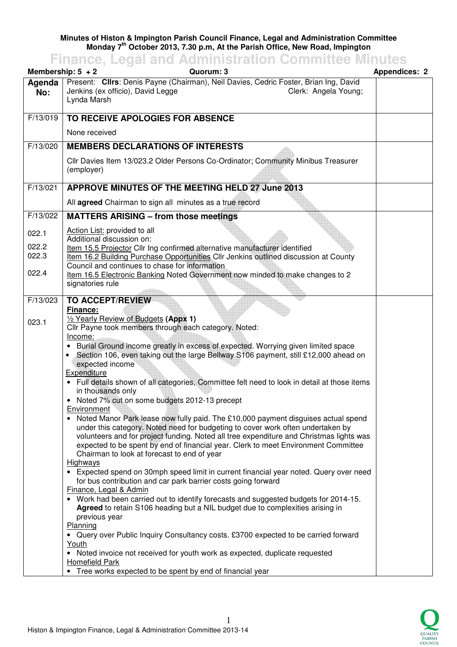## **Minutes of Histon & Impington Parish Council Finance, Legal and Administration Committee Monday 7th October 2013, 7.30 p.m, At the Parish Office, New Road, Impington**

## **Finance, Legal and Administration Committee Minutes**

|                                  | Quorum: 3<br>Membership: $5 + 2$                                                                                                                                                                                                                                                                                                                                                                                                                                                                                                                                                                                                                                                                                                                                                                                                                                                                                                                                                                                                                                                                                                                                                                                                                                                                                                                                                                                                                                                                                                                                   | <b>Appendices: 2</b> |
|----------------------------------|--------------------------------------------------------------------------------------------------------------------------------------------------------------------------------------------------------------------------------------------------------------------------------------------------------------------------------------------------------------------------------------------------------------------------------------------------------------------------------------------------------------------------------------------------------------------------------------------------------------------------------------------------------------------------------------------------------------------------------------------------------------------------------------------------------------------------------------------------------------------------------------------------------------------------------------------------------------------------------------------------------------------------------------------------------------------------------------------------------------------------------------------------------------------------------------------------------------------------------------------------------------------------------------------------------------------------------------------------------------------------------------------------------------------------------------------------------------------------------------------------------------------------------------------------------------------|----------------------|
| Agenda<br>No:                    | Present: Cllrs: Denis Payne (Chairman), Neil Davies, Cedric Foster, Brian Ing, David<br>Jenkins (ex officio), David Legge<br>Clerk: Angela Young;<br>Lynda Marsh                                                                                                                                                                                                                                                                                                                                                                                                                                                                                                                                                                                                                                                                                                                                                                                                                                                                                                                                                                                                                                                                                                                                                                                                                                                                                                                                                                                                   |                      |
| F/13/019                         | TO RECEIVE APOLOGIES FOR ABSENCE                                                                                                                                                                                                                                                                                                                                                                                                                                                                                                                                                                                                                                                                                                                                                                                                                                                                                                                                                                                                                                                                                                                                                                                                                                                                                                                                                                                                                                                                                                                                   |                      |
|                                  | None received                                                                                                                                                                                                                                                                                                                                                                                                                                                                                                                                                                                                                                                                                                                                                                                                                                                                                                                                                                                                                                                                                                                                                                                                                                                                                                                                                                                                                                                                                                                                                      |                      |
| F/13/020                         | <b>MEMBERS DECLARATIONS OF INTERESTS</b>                                                                                                                                                                                                                                                                                                                                                                                                                                                                                                                                                                                                                                                                                                                                                                                                                                                                                                                                                                                                                                                                                                                                                                                                                                                                                                                                                                                                                                                                                                                           |                      |
|                                  | Cllr Davies Item 13/023.2 Older Persons Co-Ordinator; Community Minibus Treasurer<br>(employer)                                                                                                                                                                                                                                                                                                                                                                                                                                                                                                                                                                                                                                                                                                                                                                                                                                                                                                                                                                                                                                                                                                                                                                                                                                                                                                                                                                                                                                                                    |                      |
| F/13/021                         | APPROVE MINUTES OF THE MEETING HELD 27 June 2013                                                                                                                                                                                                                                                                                                                                                                                                                                                                                                                                                                                                                                                                                                                                                                                                                                                                                                                                                                                                                                                                                                                                                                                                                                                                                                                                                                                                                                                                                                                   |                      |
|                                  | All agreed Chairman to sign all minutes as a true record                                                                                                                                                                                                                                                                                                                                                                                                                                                                                                                                                                                                                                                                                                                                                                                                                                                                                                                                                                                                                                                                                                                                                                                                                                                                                                                                                                                                                                                                                                           |                      |
| F/13/022                         | <b>MATTERS ARISING - from those meetings</b>                                                                                                                                                                                                                                                                                                                                                                                                                                                                                                                                                                                                                                                                                                                                                                                                                                                                                                                                                                                                                                                                                                                                                                                                                                                                                                                                                                                                                                                                                                                       |                      |
| 022.1<br>022.2<br>022.3<br>022.4 | Action List: provided to all<br>Additional discussion on:<br>Item 15.5 Projector Cllr Ing confirmed alternative manufacturer identified<br>Item 16.2 Building Purchase Opportunities Cllr Jenkins outlined discussion at County<br>Council and continues to chase for information<br>Item 16.5 Electronic Banking Noted Government now minded to make changes to 2<br>signatories rule                                                                                                                                                                                                                                                                                                                                                                                                                                                                                                                                                                                                                                                                                                                                                                                                                                                                                                                                                                                                                                                                                                                                                                             |                      |
| F/13/023                         | <b>TO ACCEPT/REVIEW</b>                                                                                                                                                                                                                                                                                                                                                                                                                                                                                                                                                                                                                                                                                                                                                                                                                                                                                                                                                                                                                                                                                                                                                                                                                                                                                                                                                                                                                                                                                                                                            |                      |
| 023.1                            | <b>Finance:</b><br>1/2 Yearly Review of Budgets (Appx 1)<br>Cllr Payne took members through each category. Noted:<br>Income:<br>• Burial Ground income greatly in excess of expected. Worrying given limited space<br>Section 106, even taking out the large Bellway S106 payment, still £12,000 ahead on<br>expected income<br>Expenditure<br>• Full details shown of all categories, Committee felt need to look in detail at those items<br>in thousands only<br>• Noted 7% cut on some budgets 2012-13 precept<br><b>Environment</b><br>• Noted Manor Park lease now fully paid. The £10,000 payment disguises actual spend<br>under this category. Noted need for budgeting to cover work often undertaken by<br>volunteers and for project funding. Noted all tree expenditure and Christmas lights was<br>expected to be spent by end of financial year. Clerk to meet Environment Committee<br>Chairman to look at forecast to end of year<br>Highways<br>• Expected spend on 30mph speed limit in current financial year noted. Query over need<br>for bus contribution and car park barrier costs going forward<br>Finance, Legal & Admin<br>• Work had been carried out to identify forecasts and suggested budgets for 2014-15.<br>Agreed to retain S106 heading but a NIL budget due to complexities arising in<br>previous year<br>Planning<br>• Query over Public Inquiry Consultancy costs. £3700 expected to be carried forward<br>Youth<br>• Noted invoice not received for youth work as expected, duplicate requested<br><b>Homefield Park</b> |                      |

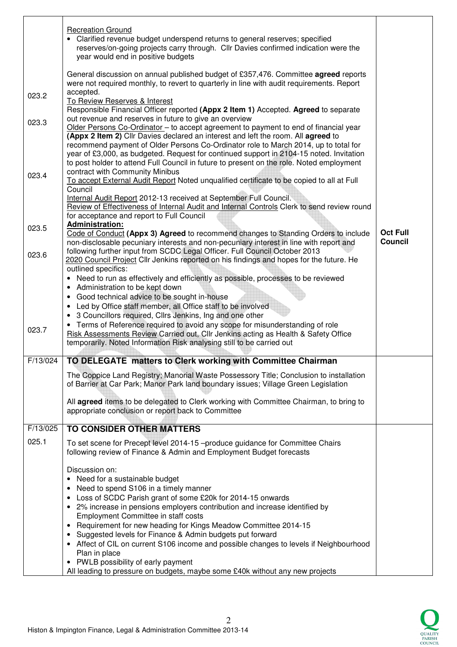|          | <b>Recreation Ground</b><br>Clarified revenue budget underspend returns to general reserves; specified<br>reserves/on-going projects carry through. Cllr Davies confirmed indication were the<br>year would end in positive budgets                                                                                                                                                                                                                                                                               |                            |
|----------|-------------------------------------------------------------------------------------------------------------------------------------------------------------------------------------------------------------------------------------------------------------------------------------------------------------------------------------------------------------------------------------------------------------------------------------------------------------------------------------------------------------------|----------------------------|
|          | General discussion on annual published budget of £357,476. Committee agreed reports<br>were not required monthly, to revert to quarterly in line with audit requirements. Report<br>accepted.                                                                                                                                                                                                                                                                                                                     |                            |
| 023.2    | To Review Reserves & Interest<br>Responsible Financial Officer reported (Appx 2 Item 1) Accepted. Agreed to separate                                                                                                                                                                                                                                                                                                                                                                                              |                            |
| 023.3    | out revenue and reserves in future to give an overview<br>Older Persons Co-Ordinator - to accept agreement to payment to end of financial year<br>(Appx 2 Item 2) Cllr Davies declared an interest and left the room. All agreed to<br>recommend payment of Older Persons Co-Ordinator role to March 2014, up to total for<br>year of £3,000, as budgeted. Request for continued support in 2104-15 noted. Invitation<br>to post holder to attend Full Council in future to present on the role. Noted employment |                            |
| 023.4    | contract with Community Minibus<br>To accept External Audit Report Noted unqualified certificate to be copied to all at Full                                                                                                                                                                                                                                                                                                                                                                                      |                            |
|          | Council<br>Internal Audit Report 2012-13 received at September Full Council.<br>Review of Effectiveness of Internal Audit and Internal Controls Clerk to send review round<br>for acceptance and report to Full Council                                                                                                                                                                                                                                                                                           |                            |
| 023.5    | <b>Administration:</b><br>Code of Conduct (Appx 3) Agreed to recommend changes to Standing Orders to include<br>non-disclosable pecuniary interests and non-pecuniary interest in line with report and                                                                                                                                                                                                                                                                                                            | <b>Oct Full</b><br>Council |
| 023.6    | following further input from SCDC Legal Officer. Full Council October 2013<br>2020 Council Project Cllr Jenkins reported on his findings and hopes for the future. He<br>outlined specifics:                                                                                                                                                                                                                                                                                                                      |                            |
|          | Need to run as effectively and efficiently as possible, processes to be reviewed<br>$\bullet$<br>Administration to be kept down<br>٠                                                                                                                                                                                                                                                                                                                                                                              |                            |
|          | Good technical advice to be sought in-house<br>$\bullet$<br>Led by Office staff member, all Office staff to be involved<br>$\bullet$                                                                                                                                                                                                                                                                                                                                                                              |                            |
| 023.7    | 3 Councillors required, Cllrs Jenkins, Ing and one other<br>Terms of Reference required to avoid any scope for misunderstanding of role<br>$\bullet$<br>Risk Assessments Review Carried out, Cllr Jenkins acting as Health & Safety Office<br>temporarily. Noted Information Risk analysing still to be carried out                                                                                                                                                                                               |                            |
| F/13/024 | TO DELEGATE matters to Clerk working with Committee Chairman                                                                                                                                                                                                                                                                                                                                                                                                                                                      |                            |
|          | The Coppice Land Registry; Manorial Waste Possessory Title; Conclusion to installation<br>of Barrier at Car Park; Manor Park land boundary issues; Village Green Legislation                                                                                                                                                                                                                                                                                                                                      |                            |
|          | All agreed items to be delegated to Clerk working with Committee Chairman, to bring to<br>appropriate conclusion or report back to Committee                                                                                                                                                                                                                                                                                                                                                                      |                            |
| F/13/025 | <b>TO CONSIDER OTHER MATTERS</b>                                                                                                                                                                                                                                                                                                                                                                                                                                                                                  |                            |
| 025.1    | To set scene for Precept level 2014-15 -produce guidance for Committee Chairs<br>following review of Finance & Admin and Employment Budget forecasts                                                                                                                                                                                                                                                                                                                                                              |                            |
|          | Discussion on:<br>Need for a sustainable budget                                                                                                                                                                                                                                                                                                                                                                                                                                                                   |                            |
|          | Need to spend S106 in a timely manner<br>٠                                                                                                                                                                                                                                                                                                                                                                                                                                                                        |                            |
|          | Loss of SCDC Parish grant of some £20k for 2014-15 onwards<br>٠<br>2% increase in pensions employers contribution and increase identified by<br>$\bullet$                                                                                                                                                                                                                                                                                                                                                         |                            |
|          | Employment Committee in staff costs<br>Requirement for new heading for Kings Meadow Committee 2014-15<br>$\bullet$                                                                                                                                                                                                                                                                                                                                                                                                |                            |
|          | Suggested levels for Finance & Admin budgets put forward<br>$\bullet$<br>• Affect of CIL on current S106 income and possible changes to levels if Neighbourhood<br>Plan in place                                                                                                                                                                                                                                                                                                                                  |                            |
|          | • PWLB possibility of early payment<br>All leading to pressure on budgets, maybe some £40k without any new projects                                                                                                                                                                                                                                                                                                                                                                                               |                            |